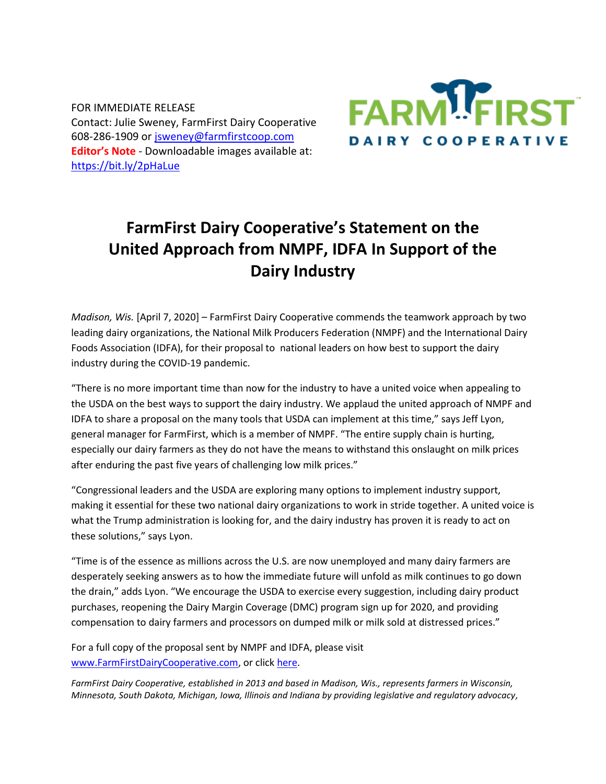FOR IMMEDIATE RELEASE Contact: Julie Sweney, FarmFirst Dairy Cooperative 608-286-1909 or [jsweney@farmfirstcoop.com](mailto:jsweney@farmfirstcoop.com) **Editor's Note** - Downloadable images available at: <https://bit.ly/2pHaLue>



## **FarmFirst Dairy Cooperative's Statement on the United Approach from NMPF, IDFA In Support of the Dairy Industry**

*Madison, Wis.* [April 7, 2020] – FarmFirst Dairy Cooperative commends the teamwork approach by two leading dairy organizations, the National Milk Producers Federation (NMPF) and the International Dairy Foods Association (IDFA), for their proposal to national leaders on how best to support the dairy industry during the COVID-19 pandemic.

"There is no more important time than now for the industry to have a united voice when appealing to the USDA on the best ways to support the dairy industry. We applaud the united approach of NMPF and IDFA to share a proposal on the many tools that USDA can implement at this time," says Jeff Lyon, general manager for FarmFirst, which is a member of NMPF. "The entire supply chain is hurting, especially our dairy farmers as they do not have the means to withstand this onslaught on milk prices after enduring the past five years of challenging low milk prices."

"Congressional leaders and the USDA are exploring many options to implement industry support, making it essential for these two national dairy organizations to work in stride together. A united voice is what the Trump administration is looking for, and the dairy industry has proven it is ready to act on these solutions," says Lyon.

"Time is of the essence as millions across the U.S. are now unemployed and many dairy farmers are desperately seeking answers as to how the immediate future will unfold as milk continues to go down the drain," adds Lyon. "We encourage the USDA to exercise every suggestion, including dairy product purchases, reopening the Dairy Margin Coverage (DMC) program sign up for 2020, and providing compensation to dairy farmers and processors on dumped milk or milk sold at distressed prices."

For a full copy of the proposal sent by NMPF and IDFA, please visit [www.FarmFirstDairyCooperative.com,](http://www.farmfirstdairycooperative.com/) or click [here.](http://www.farmfirstdairycooperative.com/library/content/NMPFIDFACOVID19MitigationProposal040620Membersfinal002.pdf)

*FarmFirst Dairy Cooperative, established in 2013 and based in Madison, Wis., represents farmers in Wisconsin, Minnesota, South Dakota, Michigan, Iowa, Illinois and Indiana by providing legislative and regulatory advocacy,*